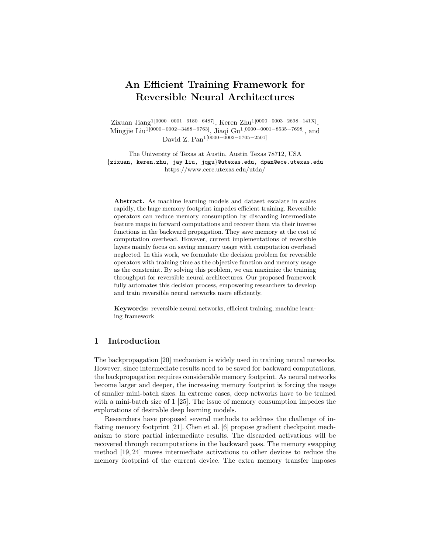# An Efficient Training Framework for Reversible Neural Architectures

Zixuan Jiang1[0000−0001−6180−6487], Keren Zhu1[0000−0003−2698−141X] , Mingjie Liu<sup>1[0000−0002−3488−9763]</sup>, Jiaqi Gu<sup>1[0000−0001−8535−7698]</sup>, and David Z. Pan1[0000−0002−5705−2501]

The University of Texas at Austin, Austin Texas 78712, USA {zixuan, keren.zhu, jay liu, jqgu}@utexas.edu, dpan@ece.utexas.edu https://www.cerc.utexas.edu/utda/

Abstract. As machine learning models and dataset escalate in scales rapidly, the huge memory footprint impedes efficient training. Reversible operators can reduce memory consumption by discarding intermediate feature maps in forward computations and recover them via their inverse functions in the backward propagation. They save memory at the cost of computation overhead. However, current implementations of reversible layers mainly focus on saving memory usage with computation overhead neglected. In this work, we formulate the decision problem for reversible operators with training time as the objective function and memory usage as the constraint. By solving this problem, we can maximize the training throughput for reversible neural architectures. Our proposed framework fully automates this decision process, empowering researchers to develop and train reversible neural networks more efficiently.

Keywords: reversible neural networks, efficient training, machine learning framework

## 1 Introduction

The backpropagation [20] mechanism is widely used in training neural networks. However, since intermediate results need to be saved for backward computations, the backpropagation requires considerable memory footprint. As neural networks become larger and deeper, the increasing memory footprint is forcing the usage of smaller mini-batch sizes. In extreme cases, deep networks have to be trained with a mini-batch size of 1 [25]. The issue of memory consumption impedes the explorations of desirable deep learning models.

Researchers have proposed several methods to address the challenge of inflating memory footprint [21]. Chen et al. [6] propose gradient checkpoint mechanism to store partial intermediate results. The discarded activations will be recovered through recomputations in the backward pass. The memory swapping method [19, 24] moves intermediate activations to other devices to reduce the memory footprint of the current device. The extra memory transfer imposes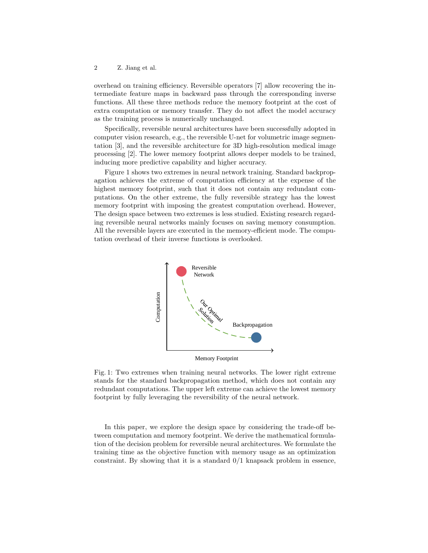overhead on training efficiency. Reversible operators [7] allow recovering the intermediate feature maps in backward pass through the corresponding inverse functions. All these three methods reduce the memory footprint at the cost of extra computation or memory transfer. They do not affect the model accuracy as the training process is numerically unchanged.

Specifically, reversible neural architectures have been successfully adopted in computer vision research, e.g., the reversible U-net for volumetric image segmentation [3], and the reversible architecture for 3D high-resolution medical image processing [2]. The lower memory footprint allows deeper models to be trained, inducing more predictive capability and higher accuracy.

Figure 1 shows two extremes in neural network training. Standard backpropagation achieves the extreme of computation efficiency at the expense of the highest memory footprint, such that it does not contain any redundant computations. On the other extreme, the fully reversible strategy has the lowest memory footprint with imposing the greatest computation overhead. However, The design space between two extremes is less studied. Existing research regarding reversible neural networks mainly focuses on saving memory consumption. All the reversible layers are executed in the memory-efficient mode. The computation overhead of their inverse functions is overlooked.



Fig. 1: Two extremes when training neural networks. The lower right extreme stands for the standard backpropagation method, which does not contain any redundant computations. The upper left extreme can achieve the lowest memory footprint by fully leveraging the reversibility of the neural network.

In this paper, we explore the design space by considering the trade-off between computation and memory footprint. We derive the mathematical formulation of the decision problem for reversible neural architectures. We formulate the training time as the objective function with memory usage as an optimization constraint. By showing that it is a standard 0/1 knapsack problem in essence,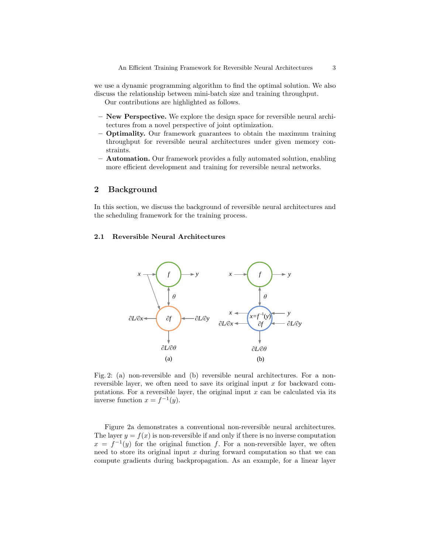we use a dynamic programming algorithm to find the optimal solution. We also discuss the relationship between mini-batch size and training throughput.

Our contributions are highlighted as follows.

- New Perspective. We explore the design space for reversible neural architectures from a novel perspective of joint optimization.
- Optimality. Our framework guarantees to obtain the maximum training throughput for reversible neural architectures under given memory constraints.
- Automation. Our framework provides a fully automated solution, enabling more efficient development and training for reversible neural networks.

## 2 Background

In this section, we discuss the background of reversible neural architectures and the scheduling framework for the training process.

## 2.1 Reversible Neural Architectures



Fig. 2: (a) non-reversible and (b) reversible neural architectures. For a nonreversible layer, we often need to save its original input  $x$  for backward computations. For a reversible layer, the original input  $x$  can be calculated via its inverse function  $x = f^{-1}(y)$ .

Figure 2a demonstrates a conventional non-reversible neural architectures. The layer  $y = f(x)$  is non-reversible if and only if there is no inverse computation  $x = f^{-1}(y)$  for the original function f. For a non-reversible layer, we often need to store its original input  $x$  during forward computation so that we can compute gradients during backpropagation. As an example, for a linear layer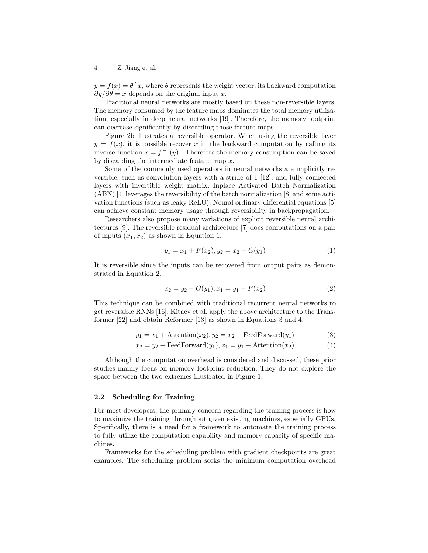$y = f(x) = \theta^T x$ , where  $\theta$  represents the weight vector, its backward computation  $\partial y/\partial \theta = x$  depends on the original input x.

Traditional neural networks are mostly based on these non-reversible layers. The memory consumed by the feature maps dominates the total memory utilization, especially in deep neural networks [19]. Therefore, the memory footprint can decrease significantly by discarding those feature maps.

Figure 2b illustrates a reversible operator. When using the reversible layer  $y = f(x)$ , it is possible recover x in the backward computation by calling its inverse function  $x = f^{-1}(y)$ . Therefore the memory consumption can be saved by discarding the intermediate feature map  $x$ .

Some of the commonly used operators in neural networks are implicitly reversible, such as convolution layers with a stride of 1 [12], and fully connected layers with invertible weight matrix. Inplace Activated Batch Normalization (ABN) [4] leverages the reversibility of the batch normalization [8] and some activation functions (such as leaky ReLU). Neural ordinary differential equations [5] can achieve constant memory usage through reversibility in backpropagation.

Researchers also propose many variations of explicit reversible neural architectures [9]. The reversible residual architecture [7] does computations on a pair of inputs  $(x_1, x_2)$  as shown in Equation 1.

$$
y_1 = x_1 + F(x_2), y_2 = x_2 + G(y_1)
$$
\n<sup>(1)</sup>

It is reversible since the inputs can be recovered from output pairs as demonstrated in Equation 2.

$$
x_2 = y_2 - G(y_1), x_1 = y_1 - F(x_2)
$$
\n<sup>(2)</sup>

This technique can be combined with traditional recurrent neural networks to get reversible RNNs [16]. Kitaev et al. apply the above architecture to the Transformer [22] and obtain Reformer [13] as shown in Equations 3 and 4.

$$
y_1 = x_1 + \text{Attention}(x_2), y_2 = x_2 + \text{FeedForward}(y_1)
$$
 (3)

$$
x_2 = y_2 - \text{FeedForward}(y_1), x_1 = y_1 - \text{Attention}(x_2)
$$
 (4)

Although the computation overhead is considered and discussed, these prior studies mainly focus on memory footprint reduction. They do not explore the space between the two extremes illustrated in Figure 1.

#### 2.2 Scheduling for Training

For most developers, the primary concern regarding the training process is how to maximize the training throughput given existing machines, especially GPUs. Specifically, there is a need for a framework to automate the training process to fully utilize the computation capability and memory capacity of specific machines.

Frameworks for the scheduling problem with gradient checkpoints are great examples. The scheduling problem seeks the minimum computation overhead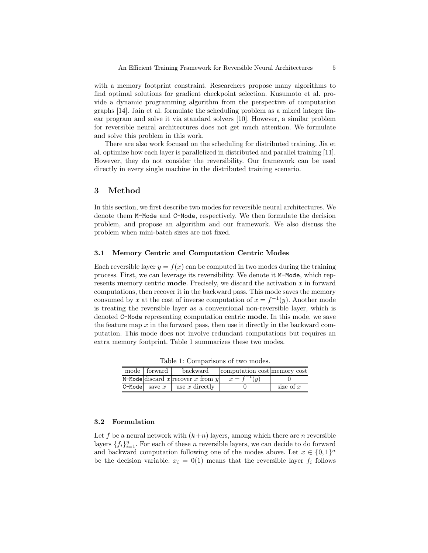with a memory footprint constraint. Researchers propose many algorithms to find optimal solutions for gradient checkpoint selection. Kusumoto et al. provide a dynamic programming algorithm from the perspective of computation graphs [14]. Jain et al. formulate the scheduling problem as a mixed integer linear program and solve it via standard solvers [10]. However, a similar problem for reversible neural architectures does not get much attention. We formulate and solve this problem in this work.

There are also work focused on the scheduling for distributed training. Jia et al. optimize how each layer is parallelized in distributed and parallel training [11]. However, they do not consider the reversibility. Our framework can be used directly in every single machine in the distributed training scenario.

## 3 Method

In this section, we first describe two modes for reversible neural architectures. We denote them M-Mode and C-Mode, respectively. We then formulate the decision problem, and propose an algorithm and our framework. We also discuss the problem when mini-batch sizes are not fixed.

## 3.1 Memory Centric and Computation Centric Modes

Each reversible layer  $y = f(x)$  can be computed in two modes during the training process. First, we can leverage its reversibility. We denote it M-Mode, which represents **memory** centric **mode**. Precisely, we discard the activation  $x$  in forward computations, then recover it in the backward pass. This mode saves the memory consumed by x at the cost of inverse computation of  $x = f^{-1}(y)$ . Another mode is treating the reversible layer as a conventional non-reversible layer, which is denoted C-Mode representing computation centric mode. In this mode, we save the feature map  $x$  in the forward pass, then use it directly in the backward computation. This mode does not involve redundant computations but requires an extra memory footprint. Table 1 summarizes these two modes.

| mode forward    | backward                            | computation cost memory cost |             |
|-----------------|-------------------------------------|------------------------------|-------------|
|                 | M-Mode discard x recover x from $y$ | $x = f^{-1}(y)$              |             |
| C-Mode save $x$ | $ $ use x directly                  |                              | size of $x$ |

Table 1: Comparisons of two modes.

## 3.2 Formulation

Let f be a neural network with  $(k+n)$  layers, among which there are n reversible layers  $\{f_i\}_{i=1}^n$ . For each of these *n* reversible layers, we can decide to do forward and backward computation following one of the modes above. Let  $x \in \{0,1\}^n$ be the decision variable.  $x_i = 0(1)$  means that the reversible layer  $f_i$  follows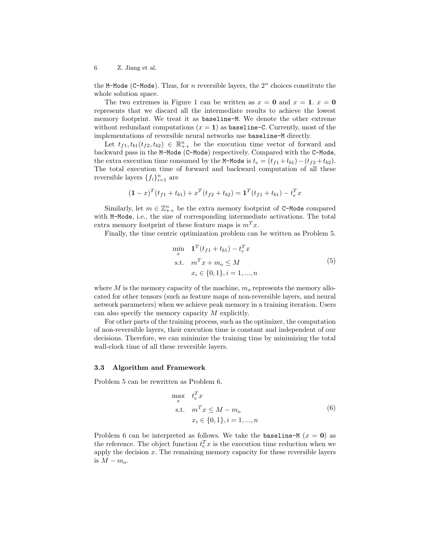the M-Mode (C-Mode). Thus, for n reversible layers, the  $2^n$  choices constitute the whole solution space.

The two extremes in Figure 1 can be written as  $x = 0$  and  $x = 1$ .  $x = 0$ represents that we discard all the intermediate results to achieve the lowest memory footprint. We treat it as baseline-M. We denote the other extreme without redundant computations  $(x = 1)$  as baseline-C. Currently, most of the implementations of reversible neural networks use baseline-M directly.

Let  $t_{f1}, t_{b1}(t_{f2}, t_{b2}) \in \mathbb{R}_{++}^n$  be the execution time vector of forward and backward pass in the M-Mode (C-Mode) respectively. Compared with the C-Mode, the extra execution time consumed by the M-Mode is  $t_e = (t_{f1} + t_{b1}) - (t_{f2} + t_{b2}).$ The total execution time of forward and backward computation of all these reversible layers  $\{f_i\}_{i=1}^n$  are

$$
(\mathbf{1}-x)^{T}(t_{f1}+t_{b1})+x^{T}(t_{f2}+t_{b2})=\mathbf{1}^{T}(t_{f1}+t_{b1})-t_{e}^{T}x
$$

Similarly, let  $m \in \mathbb{Z}_{++}^n$  be the extra memory footprint of C-Mode compared with M-Mode, i.e., the size of corresponding intermediate activations. The total extra memory footprint of these feature maps is  $m<sup>T</sup> x$ .

Finally, the time centric optimization problem can be written as Problem 5.

$$
\min_{x} \quad \mathbf{1}^{T}(t_{f1} + t_{b1}) - t_{e}^{T} x
$$
\n
$$
\text{s.t.} \quad m^{T} x + m_{o} \leq M
$$
\n
$$
x_{i} \in \{0, 1\}, i = 1, ..., n
$$
\n
$$
(5)
$$

where M is the memory capacity of the machine,  $m<sub>o</sub>$  represents the memory allocated for other tensors (such as feature maps of non-reversible layers, and neural network parameters) when we achieve peak memory in a training iteration. Users can also specify the memory capacity M explicitly.

For other parts of the training process, such as the optimizer, the computation of non-reversible layers, their execution time is constant and independent of our decisions. Therefore, we can minimize the training time by minimizing the total wall-clock time of all these reversible layers.

# 3.3 Algorithm and Framework

Problem 5 can be rewritten as Problem 6.

$$
\max_{x} t_e^T x
$$
  
s.t.  $m^T x \le M - m_o$   
 $x_i \in \{0, 1\}, i = 1, ..., n$  (6)

Problem 6 can be interpreted as follows. We take the baseline-M  $(x = 0)$  as the reference. The object function  $t_e^T x$  is the execution time reduction when we apply the decision  $x$ . The remaining memory capacity for these reversible layers is  $M - m_o$ .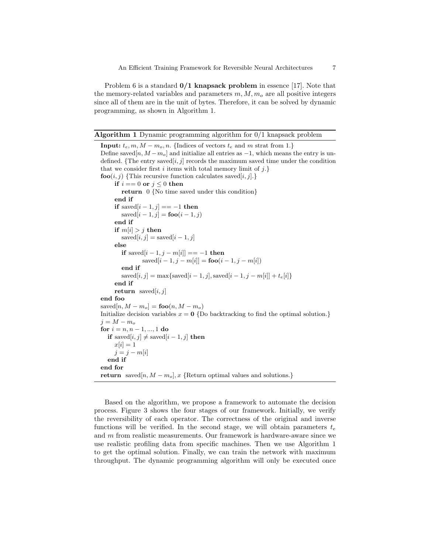Problem 6 is a standard  $0/1$  knapsack problem in essence [17]. Note that the memory-related variables and parameters  $m, M, m<sub>o</sub>$  are all positive integers since all of them are in the unit of bytes. Therefore, it can be solved by dynamic programming, as shown in Algorithm 1.

Algorithm 1 Dynamic programming algorithm for 0/1 knapsack problem

```
Input: t_e, m, M - m_o, n. {Indices of vectors t_e and m strat from 1.}
Define saved[n, M - m_0] and initialize all entries as -1, which means the entry is un-
defined. {The entry saved[i, j] records the maximum saved time under the condition
that we consider first i items with total memory limit of j.}
foo(i, j) {This recursive function calculates saved[i, j].}
     if i == 0 or j \leq 0 then
       return 0 {No time saved under this condition}
     end if
     if saved[i-1, j] == -1 then
       saved[i - 1, j] = \mathbf{foo}(i - 1, j)end if
     if m[i] > j then
       saved[i, j] =saved[i - 1, j]else
       if saved[i - 1, j - m[i]] == −1 then
               saved[i - 1, j - m[i]] = \textbf{foo}(i - 1, j - m[i])end if
       saved[i, j] = max{saved[i - 1, j], saved[i - 1, j - m[i]] + t_e[i]}end if
     return saved[i, j]end foo
saved[n, M - m_o] = \textbf{foo}(n, M - m_o)Initialize decision variables x = 0 {Do backtracking to find the optimal solution.}
j = M - m_ofor i = n, n - 1, ..., 1 do
  if saved[i, j] \neq saved[i - 1, j] then
     x[i] = 1j = j - m[i]end if
end for
return saved[n, M - m_o], x {Return optimal values and solutions.}
```
Based on the algorithm, we propose a framework to automate the decision process. Figure 3 shows the four stages of our framework. Initially, we verify the reversibility of each operator. The correctness of the original and inverse functions will be verified. In the second stage, we will obtain parameters  $t_e$ and m from realistic measurements. Our framework is hardware-aware since we use realistic profiling data from specific machines. Then we use Algorithm 1 to get the optimal solution. Finally, we can train the network with maximum throughput. The dynamic programming algorithm will only be executed once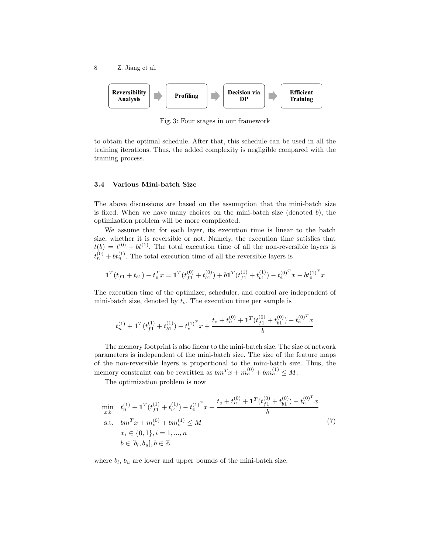



Fig. 3: Four stages in our framework

to obtain the optimal schedule. After that, this schedule can be used in all the training iterations. Thus, the added complexity is negligible compared with the training process.

## 3.4 Various Mini-batch Size

The above discussions are based on the assumption that the mini-batch size is fixed. When we have many choices on the mini-batch size (denoted  $b$ ), the optimization problem will be more complicated.

We assume that for each layer, its execution time is linear to the batch size, whether it is reversible or not. Namely, the execution time satisfies that  $t(b) = t^{(0)} + bt^{(1)}$ . The total execution time of all the non-reversible layers is  $t_n^{(0)} + bt_n^{(1)}$ . The total execution time of all the reversible layers is

$$
\mathbf{1}^T(t_{f1} + t_{b1}) - t_e^T x = \mathbf{1}^T(t_{f1}^{(0)} + t_{b1}^{(0)}) + b\mathbf{1}^T(t_{f1}^{(1)} + t_{b1}^{(1)}) - t_e^{(0)^T} x - b t_e^{(1)^T} x
$$

The execution time of the optimizer, scheduler, and control are independent of mini-batch size, denoted by  $t_o$ . The execution time per sample is

$$
t_n^{(1)}+{\bf 1}^T(t_{f1}^{(1)}+t_{b1}^{(1)})-t_e^{(1)^T}x+\frac{t_o+t_n^{(0)}+{\bf 1}^T(t_{f1}^{(0)}+t_{b1}^{(0)})-t_e^{(0)^T}x}{b}
$$

The memory footprint is also linear to the mini-batch size. The size of network parameters is independent of the mini-batch size. The size of the feature maps of the non-reversible layers is proportional to the mini-batch size. Thus, the memory constraint can be rewritten as  $bm^T x + m_o^{(0)} + bm_o^{(1)} \leq M$ .

The optimization problem is now

$$
\min_{x,b} \quad t_n^{(1)} + \mathbf{1}^T (t_{f1}^{(1)} + t_{b1}^{(1)}) - t_e^{(1)^T} x + \frac{t_o + t_n^{(0)} + \mathbf{1}^T (t_{f1}^{(0)} + t_{b1}^{(0)}) - t_e^{(0)^T} x}{b}
$$
\n
$$
\text{s.t.} \quad bm^T x + m_o^{(0)} + bm_o^{(1)} \le M
$$
\n
$$
x_i \in \{0, 1\}, i = 1, ..., n
$$
\n
$$
b \in [b_l, b_u], b \in \mathbb{Z}
$$
\n(7)

where  $b_l$ ,  $b_u$  are lower and upper bounds of the mini-batch size.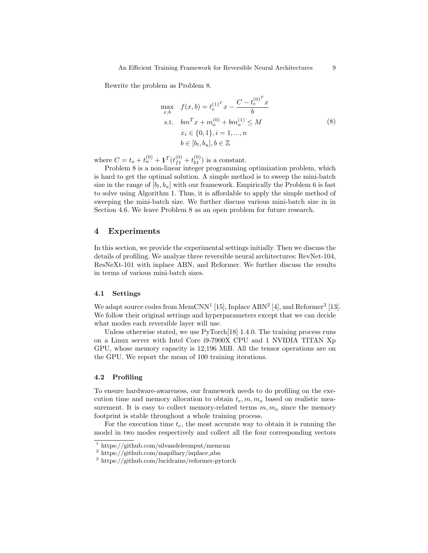Rewrite the problem as Problem 8.

$$
\max_{x,b} \quad f(x,b) = t_e^{(1)^T} x - \frac{C - t_e^{(0)^T} x}{b}
$$
\n
$$
\text{s.t.} \quad bm^T x + m_o^{(0)} + bm_o^{(1)} \le M
$$
\n
$$
x_i \in \{0, 1\}, i = 1, ..., n
$$
\n
$$
b \in [b_l, b_u], b \in \mathbb{Z}
$$
\n(8)

where  $C = t_o + t_n^{(0)} + \mathbf{1}^T (t_{f1}^{(0)} + t_{b1}^{(0)})$  $\binom{0}{b_1}$  is a constant.

Problem 8 is a non-linear integer programming optimization problem, which is hard to get the optimal solution. A simple method is to sweep the mini-batch size in the range of  $[b_l, b_u]$  with our framework. Empirically the Problem 6 is fast to solve using Algorithm 1. Thus, it is affordable to apply the simple method of sweeping the mini-batch size. We further discuss various mini-batch size in in Section 4.6. We leave Problem 8 as an open problem for future research.

## 4 Experiments

In this section, we provide the experimental settings initially. Then we discuss the details of profiling. We analyze three reversible neural architectures: RevNet-104, ResNeXt-101 with inplace ABN, and Reformer. We further discuss the results in terms of various mini-batch sizes.

#### 4.1 Settings

We adapt source codes from  $MemCNN<sup>1</sup>$  [15], Inplace ABN<sup>2</sup> [4], and Reformer<sup>3</sup> [13]. We follow their original settings and hyperparameters except that we can decide what modes each reversible layer will use.

Unless otherwise stated, we use PyTorch[18] 1.4.0. The training process runs on a Linux server with Intel Core i9-7900X CPU and 1 NVIDIA TITAN Xp GPU, whose memory capacity is 12,196 MiB. All the tensor operations are on the GPU. We report the mean of 100 training iterations.

#### 4.2 Profiling

To ensure hardware-awareness, our framework needs to do profiling on the execution time and memory allocation to obtain  $t_e, m, m_o$  based on realistic measurement. It is easy to collect memory-related terms  $m, m_o$  since the memory footprint is stable throughout a whole training process.

For the execution time  $t_e$ , the most accurate way to obtain it is running the model in two modes respectively and collect all the four corresponding vectors

<sup>1</sup> https://github.com/silvandeleemput/memcnn

<sup>2</sup> https://github.com/mapillary/inplace abn

<sup>3</sup> https://github.com/lucidrains/reformer-pytorch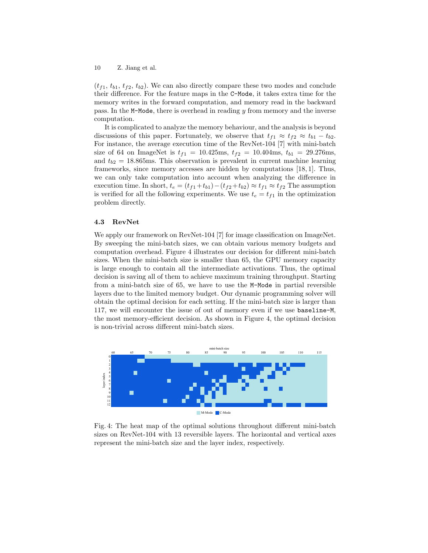$(t_{f1}, t_{b1}, t_{f2}, t_{b2})$ . We can also directly compare these two modes and conclude their difference. For the feature maps in the C-Mode, it takes extra time for the memory writes in the forward computation, and memory read in the backward pass. In the M-Mode, there is overhead in reading y from memory and the inverse computation.

It is complicated to analyze the memory behaviour, and the analysis is beyond discussions of this paper. Fortunately, we observe that  $t_{f1} \approx t_{f2} \approx t_{b1} - t_{b2}$ . For instance, the average execution time of the RevNet-104 [7] with mini-batch size of 64 on ImageNet is  $t_{f1} = 10.425$ ms,  $t_{f2} = 10.404$ ms,  $t_{b1} = 29.276$ ms, and  $t_{b2} = 18.865 \text{ms}$ . This observation is prevalent in current machine learning frameworks, since memory accesses are hidden by computations [18, 1]. Thus, we can only take computation into account when analyzing the difference in execution time. In short,  $t_e = (t_{f1}+t_{b1})-(t_{f2}+t_{b2}) \approx t_{f1} \approx t_{f2}$  The assumption is verified for all the following experiments. We use  $t_e = t_{f1}$  in the optimization problem directly.

## 4.3 RevNet

We apply our framework on RevNet-104 [7] for image classification on ImageNet. By sweeping the mini-batch sizes, we can obtain various memory budgets and computation overhead. Figure 4 illustrates our decision for different mini-batch sizes. When the mini-batch size is smaller than 65, the GPU memory capacity is large enough to contain all the intermediate activations. Thus, the optimal decision is saving all of them to achieve maximum training throughput. Starting from a mini-batch size of 65, we have to use the M-Mode in partial reversible layers due to the limited memory budget. Our dynamic programming solver will obtain the optimal decision for each setting. If the mini-batch size is larger than 117, we will encounter the issue of out of memory even if we use baseline-M, the most memory-efficient decision. As shown in Figure 4, the optimal decision is non-trivial across different mini-batch sizes.



Fig. 4: The heat map of the optimal solutions throughout different mini-batch sizes on RevNet-104 with 13 reversible layers. The horizontal and vertical axes represent the mini-batch size and the layer index, respectively.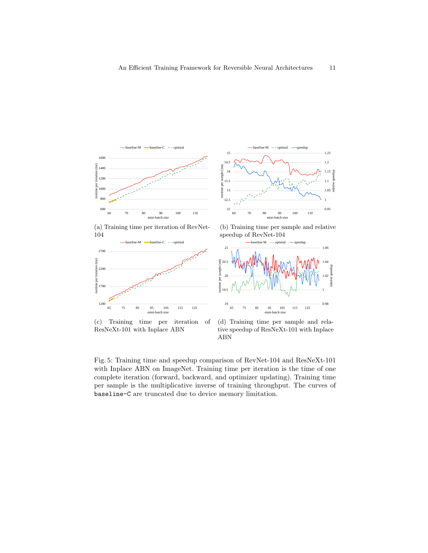



(a) Training time per iteration of RevNet-104



(b) Training time per sample and relative speedup of RevNet-104



(c) Training time per iteration of ResNeXt-101 with Inplace ABN

(d) Training time per sample and relative speedup of ResNeXt-101 with Inplace ABN

Fig. 5: Training time and speedup comparison of RevNet-104 and ResNeXt-101 with Inplace ABN on ImageNet. Training time per iteration is the time of one complete iteration (forward, backward, and optimizer updating). Training time per sample is the multiplicative inverse of training throughput. The curves of baseline-C are truncated due to device memory limitation.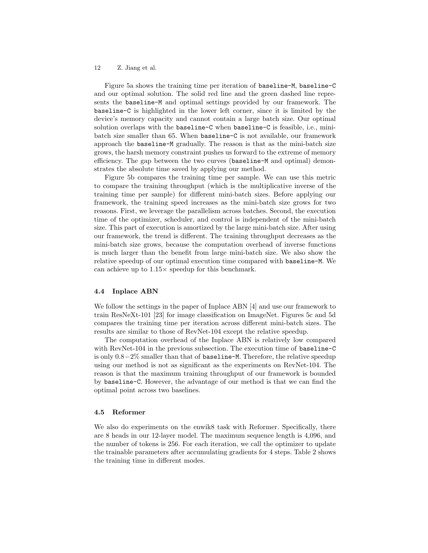Figure 5a shows the training time per iteration of baseline-M, baseline-C and our optimal solution. The solid red line and the green dashed line represents the baseline-M and optimal settings provided by our framework. The baseline-C is highlighted in the lower left corner, since it is limited by the device's memory capacity and cannot contain a large batch size. Our optimal solution overlaps with the baseline-C when baseline-C is feasible, i.e., minibatch size smaller than 65. When baseline-C is not available, our framework approach the baseline-M gradually. The reason is that as the mini-batch size grows, the harsh memory constraint pushes us forward to the extreme of memory efficiency. The gap between the two curves (baseline-M and optimal) demonstrates the absolute time saved by applying our method.

Figure 5b compares the training time per sample. We can use this metric to compare the training throughput (which is the multiplicative inverse of the training time per sample) for different mini-batch sizes. Before applying our framework, the training speed increases as the mini-batch size grows for two reasons. First, we leverage the parallelism across batches. Second, the execution time of the optimizer, scheduler, and control is independent of the mini-batch size. This part of execution is amortized by the large mini-batch size. After using our framework, the trend is different. The training throughput decreases as the mini-batch size grows, because the computation overhead of inverse functions is much larger than the benefit from large mini-batch size. We also show the relative speedup of our optimal execution time compared with baseline-M. We can achieve up to  $1.15\times$  speedup for this benchmark.

#### 4.4 Inplace ABN

We follow the settings in the paper of Inplace ABN [4] and use our framework to train ResNeXt-101 [23] for image classification on ImageNet. Figures 5c and 5d compares the training time per iteration across different mini-batch sizes. The results are similar to those of RevNet-104 except the relative speedup.

The computation overhead of the Inplace ABN is relatively low compared with RevNet-104 in the previous subsection. The execution time of baseline-C is only 0.8−2% smaller than that of baseline-M. Therefore, the relative speedup using our method is not as significant as the experiments on RevNet-104. The reason is that the maximum training throughput of our framework is bounded by baseline-C. However, the advantage of our method is that we can find the optimal point across two baselines.

#### 4.5 Reformer

We also do experiments on the enwik8 task with Reformer. Specifically, there are 8 heads in our 12-layer model. The maximum sequence length is 4,096, and the number of tokens is 256. For each iteration, we call the optimizer to update the trainable parameters after accumulating gradients for 4 steps. Table 2 shows the training time in different modes.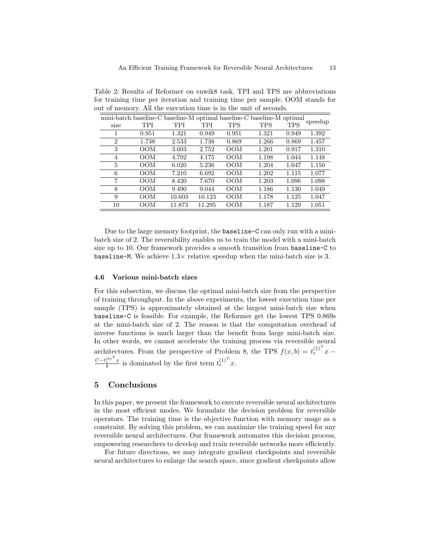|                | $\cdot$                                                                |        |            |            |            |            |         |
|----------------|------------------------------------------------------------------------|--------|------------|------------|------------|------------|---------|
|                | mini-batch baseline-C baseline-M optimal baseline-C baseline-M optimal |        |            |            |            |            |         |
| size           | TPI                                                                    | TPI    | <b>TPI</b> | <b>TPS</b> | <b>TPS</b> | <b>TPS</b> | speedup |
| 1              | 0.951                                                                  | 1.321  | 0.949      | 0.951      | 1.321      | 0.949      | 1.392   |
| $\overline{2}$ | 1.738                                                                  | 2.533  | 1.738      | 0.869      | 1.266      | 0.869      | 1.457   |
| 3              | <b>OOM</b>                                                             | 3.603  | 2.752      | <b>OOM</b> | 1.201      | 0.917      | 1.310   |
| $\overline{4}$ | <b>OOM</b>                                                             | 4.792  | 4.175      | <b>OOM</b> | 1.198      | 1.044      | 1.148   |
| 5              | <b>OOM</b>                                                             | 6.020  | 5.236      | <b>OOM</b> | 1.204      | 1.047      | 1.150   |
| 6              | <b>OOM</b>                                                             | 7.210  | 6.692      | <b>OOM</b> | 1.202      | 1.115      | 1.077   |
| 7              | <b>OOM</b>                                                             | 8.420  | 7.670      | <b>OOM</b> | 1.203      | 1.096      | 1.098   |
| 8              | <b>OOM</b>                                                             | 9.490  | 9.044      | <b>OOM</b> | 1.186      | 1.130      | 1.049   |
| 9              | <b>OOM</b>                                                             | 10.603 | 10.123     | <b>OOM</b> | 1.178      | 1.125      | 1.047   |
| 10             | OOM                                                                    | 11.873 | 11.295     | <b>OOM</b> | 1.187      | 1.129      | 1.051   |

Table 2: Results of Reformer on enwik8 task. TPI and TPS are abbreviations for training time per iteration and training time per sample. OOM stands for out of memory. All the execution time is in the unit of seconds.

Due to the large memory footprint, the baseline-C can only run with a minibatch size of 2. The reversibility enables us to train the model with a mini-batch size up to 10. Our framework provides a smooth transition from baseline-C to baseline-M. We achieve  $1.3\times$  relative speedup when the mini-batch size is 3.

#### 4.6 Various mini-batch sizes

For this subsection, we discuss the optimal mini-batch size from the perspective of training throughput. In the above experiments, the lowest execution time per sample (TPS) is approximately obtained at the largest mini-batch size when baseline-C is feasible. For example, the Reformer get the lowest TPS 0.869s at the mini-batch size of 2. The reason is that the computation overhead of inverse functions is much larger than the benefit from large mini-batch size. In other words, we cannot accelerate the training process via reversible neural architectures. From the perspective of Problem 8, the TPS  $f(x, b) = t_e^{(1)^T} x \frac{C-t_e^{(0)^T}x}{b}$  is dominated by the first term  $t_e^{(1)^T}x$ .

## 5 Conclusions

In this paper, we present the framework to execute reversible neural architectures in the most efficient modes. We formulate the decision problem for reversible operators. The training time is the objective function with memory usage as a constraint. By solving this problem, we can maximize the training speed for any reversible neural architectures. Our framework automates this decision process, empowering researchers to develop and train reversible networks more efficiently.

For future directions, we may integrate gradient checkpoints and reversible neural architectures to enlarge the search space, since gradient checkpoints allow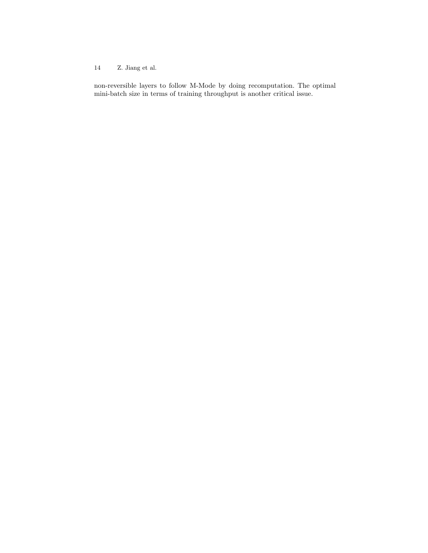non-reversible layers to follow M-Mode by doing recomputation. The optimal mini-batch size in terms of training throughput is another critical issue.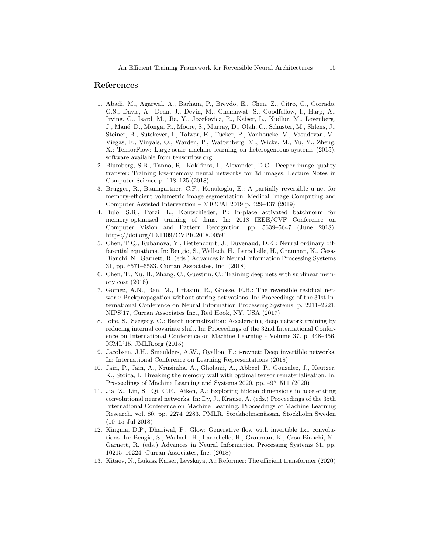## References

- 1. Abadi, M., Agarwal, A., Barham, P., Brevdo, E., Chen, Z., Citro, C., Corrado, G.S., Davis, A., Dean, J., Devin, M., Ghemawat, S., Goodfellow, I., Harp, A., Irving, G., Isard, M., Jia, Y., Jozefowicz, R., Kaiser, L., Kudlur, M., Levenberg, J., Man´e, D., Monga, R., Moore, S., Murray, D., Olah, C., Schuster, M., Shlens, J., Steiner, B., Sutskever, I., Talwar, K., Tucker, P., Vanhoucke, V., Vasudevan, V., Viégas, F., Vinyals, O., Warden, P., Wattenberg, M., Wicke, M., Yu, Y., Zheng, X.: TensorFlow: Large-scale machine learning on heterogeneous systems (2015), software available from tensorflow.org
- 2. Blumberg, S.B., Tanno, R., Kokkinos, I., Alexander, D.C.: Deeper image quality transfer: Training low-memory neural networks for 3d images. Lecture Notes in Computer Science p. 118–125 (2018)
- 3. Br¨ugger, R., Baumgartner, C.F., Konukoglu, E.: A partially reversible u-net for memory-efficient volumetric image segmentation. Medical Image Computing and Computer Assisted Intervention – MICCAI 2019 p. 429–437 (2019)
- 4. Bul`o, S.R., Porzi, L., Kontschieder, P.: In-place activated batchnorm for memory-optimized training of dnns. In: 2018 IEEE/CVF Conference on Computer Vision and Pattern Recognition. pp. 5639–5647 (June 2018). https://doi.org/10.1109/CVPR.2018.00591
- 5. Chen, T.Q., Rubanova, Y., Bettencourt, J., Duvenaud, D.K.: Neural ordinary differential equations. In: Bengio, S., Wallach, H., Larochelle, H., Grauman, K., Cesa-Bianchi, N., Garnett, R. (eds.) Advances in Neural Information Processing Systems 31, pp. 6571–6583. Curran Associates, Inc. (2018)
- 6. Chen, T., Xu, B., Zhang, C., Guestrin, C.: Training deep nets with sublinear memory cost (2016)
- 7. Gomez, A.N., Ren, M., Urtasun, R., Grosse, R.B.: The reversible residual network: Backpropagation without storing activations. In: Proceedings of the 31st International Conference on Neural Information Processing Systems. p. 2211–2221. NIPS'17, Curran Associates Inc., Red Hook, NY, USA (2017)
- 8. Ioffe, S., Szegedy, C.: Batch normalization: Accelerating deep network training by reducing internal covariate shift. In: Proceedings of the 32nd International Conference on International Conference on Machine Learning - Volume 37. p. 448–456. ICML'15, JMLR.org (2015)
- 9. Jacobsen, J.H., Smeulders, A.W., Oyallon, E.: i-revnet: Deep invertible networks. In: International Conference on Learning Representations (2018)
- 10. Jain, P., Jain, A., Nrusimha, A., Gholami, A., Abbeel, P., Gonzalez, J., Keutzer, K., Stoica, I.: Breaking the memory wall with optimal tensor rematerialization. In: Proceedings of Machine Learning and Systems 2020, pp. 497–511 (2020)
- 11. Jia, Z., Lin, S., Qi, C.R., Aiken, A.: Exploring hidden dimensions in accelerating convolutional neural networks. In: Dy, J., Krause, A. (eds.) Proceedings of the 35th International Conference on Machine Learning. Proceedings of Machine Learning Research, vol. 80, pp. 2274–2283. PMLR, Stockholmsmässan, Stockholm Sweden (10–15 Jul 2018)
- 12. Kingma, D.P., Dhariwal, P.: Glow: Generative flow with invertible 1x1 convolutions. In: Bengio, S., Wallach, H., Larochelle, H., Grauman, K., Cesa-Bianchi, N., Garnett, R. (eds.) Advances in Neural Information Processing Systems 31, pp. 10215–10224. Curran Associates, Inc. (2018)
- 13. Kitaev, N., Lukasz Kaiser, Levskaya, A.: Reformer: The efficient transformer (2020)